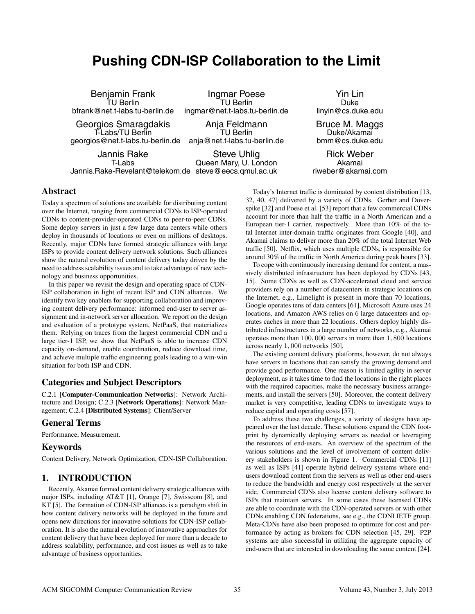# **Pushing CDN-ISP Collaboration to the Limit**

Benjamin Frank TU Berlin bfrank@net.t-labs.tu-berlin.de

Georgios Smaragdakis T-Labs/TU Berlin georgios@net.t-labs.tu-berlin.de

Ingmar Poese TU Berlin ingmar@net.t-labs.tu-berlin.de

Anja Feldmann TU Berlin anja@net.t-labs.tu-berlin.de

Steve Uhlig Queen Mary, U. London

Jannis.Rake-Revelant@telekom.de steve@eecs.qmul.ac.uk

Jannis Rake

T-Labs

**Abstract**

Today a spectrum of solutions are available for distributing content over the Internet, ranging from commercial CDNs to ISP-operated CDNs to content-provider-operated CDNs to peer-to-peer CDNs. Some deploy servers in just a few large data centers while others deploy in thousands of locations or even on millions of desktops. Recently, major CDNs have formed strategic alliances with large ISPs to provide content delivery network solutions. Such alliances show the natural evolution of content delivery today driven by the need to address scalability issues and to take advantage of new technology and business opportunities.

In this paper we revisit the design and operating space of CDN-ISP collaboration in light of recent ISP and CDN alliances. We identify two key enablers for supporting collaboration and improving content delivery performance: informed end-user to server assignment and in-network server allocation. We report on the design and evaluation of a prototype system, NetPaaS, that materializes them. Relying on traces from the largest commercial CDN and a large tier-1 ISP, we show that NetPaaS is able to increase CDN capacity on-demand, enable coordination, reduce download time, and achieve multiple traffic engineering goals leading to a win-win situation for both ISP and CDN.

### **Categories and Subject Descriptors**

C.2.1 [**Computer-Communication Networks**]: Network Architecture and Design; C.2.3 [**Network Operations**]: Network Management; C.2.4 [**Distributed Systems**]: Client/Server

#### **General Terms**

Performance, Measurement.

# **Keywords**

Content Delivery, Network Optimization, CDN-ISP Collaboration.

# **1. INTRODUCTION**

Recently, Akamai formed content delivery strategic alliances with major ISPs, including AT&T [1], Orange [7], Swisscom [8], and KT [5]. The formation of CDN-ISP alliances is a paradigm shift in how content delivery networks will be deployed in the future and opens new directions for innovative solutions for CDN-ISP collaboration. It is also the natural evolution of innovative approaches for content delivery that have been deployed for more than a decade to address scalability, performance, and cost issues as well as to take advantage of business opportunities.

Yin Lin Duke linyin@cs.duke.edu

Bruce M. Maggs Duke/Akamai bmm@cs.duke.edu

Rick Weber Akamai riweber@akamai.com

Today's Internet traffic is dominated by content distribution [13, 32, 40, 47] delivered by a variety of CDNs. Gerber and Doverspike [32] and Poese et al. [53] report that a few commercial CDNs account for more than half the traffic in a North American and a European tier-1 carrier, respectively. More than 10% of the total Internet inter-domain traffic originates from Google [40], and Akamai claims to deliver more than 20% of the total Internet Web traffic [50]. Netflix, which uses multiple CDNs, is responsible for around 30% of the traffic in North America during peak hours [33].

To cope with continuously increasing demand for content, a massively distributed infrastructure has been deployed by CDNs [43, 15]. Some CDNs as well as CDN-accelerated cloud and service providers rely on a number of datacenters in strategic locations on the Internet, e.g., Limelight is present in more than 70 locations, Google operates tens of data centers [61], Microsoft Azure uses 24 locations, and Amazon AWS relies on 6 large datacenters and operates caches in more than 22 locations. Others deploy highly distributed infrastructures in a large number of networks, e.g., Akamai operates more than 100*,* 000 servers in more than 1*,* 800 locations across nearly 1*,* 000 networks [50].

The existing content delivery platforms, however, do not always have servers in locations that can satisfy the growing demand and provide good performance. One reason is limited agility in server deployment, as it takes time to find the locations in the right places with the required capacities, make the necessary business arrangements, and install the servers [50]. Moreover, the content delivery market is very competitive, leading CDNs to investigate ways to reduce capital and operating costs [57].

To address these two challenges, a variety of designs have appeared over the last decade. These solutions expand the CDN footprint by dynamically deploying servers as needed or leveraging the resources of end-users. An overview of the spectrum of the various solutions and the level of involvement of content delivery stakeholders is shown in Figure 1. Commercial CDNs [11] as well as ISPs [41] operate hybrid delivery systems where endusers download content from the servers as well as other end-users to reduce the bandwidth and energy cost respectively at the server side. Commercial CDNs also license content delivery software to ISPs that maintain servers. In some cases these licensed CDNs are able to coordinate with the CDN-operated servers or with other CDNs enabling CDN federations, see e.g., the CDNI IETF group. Meta-CDNs have also been proposed to optimize for cost and performance by acting as brokers for CDN selection [45, 29]. P2P systems are also successful in utilizing the aggregate capacity of end-users that are interested in downloading the same content [24].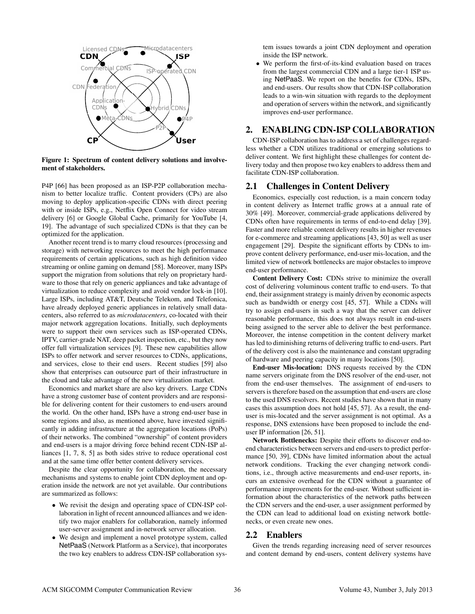

**Figure 1: Spectrum of content delivery solutions and involvement of stakeholders.**

P4P [66] has been proposed as an ISP-P2P collaboration mechanism to better localize traffic. Content providers (CPs) are also moving to deploy application-specific CDNs with direct peering with or inside ISPs, e.g., Netflix Open Connect for video stream delivery [6] or Google Global Cache, primarily for YouTube [4, 19]. The advantage of such specialized CDNs is that they can be optimized for the application.

Another recent trend is to marry cloud resources (processing and storage) with networking resources to meet the high performance requirements of certain applications, such as high definition video streaming or online gaming on demand [58]. Moreover, many ISPs support the migration from solutions that rely on proprietary hardware to those that rely on generic appliances and take advantage of virtualization to reduce complexity and avoid vendor lock-in [10]. Large ISPs, including AT&T, Deutsche Telekom, and Telefonica, have already deployed generic appliances in relatively small datacenters, also referred to as *microdatacenters*, co-located with their major network aggregation locations. Initially, such deployments were to support their own services such as ISP-operated CDNs, IPTV, carrier-grade NAT, deep packet inspection, etc., but they now offer full virtualization services [9]. These new capabilities allow ISPs to offer network and server resources to CDNs, applications, and services, close to their end users. Recent studies [59] also show that enterprises can outsource part of their infrastructure in the cloud and take advantage of the new virtualization market.

Economics and market share are also key drivers. Large CDNs have a strong customer base of content providers and are responsible for delivering content for their customers to end-users around the world. On the other hand, ISPs have a strong end-user base in some regions and also, as mentioned above, have invested significantly in adding infrastructure at the aggregation locations (PoPs) of their networks. The combined "ownership" of content providers and end-users is a major driving force behind recent CDN-ISP alliances [1, 7, 8, 5] as both sides strive to reduce operational cost and at the same time offer better content delivery services.

Despite the clear opportunity for collaboration, the necessary mechanisms and systems to enable joint CDN deployment and operation inside the network are not yet available. Our contributions are summarized as follows:

- We revisit the design and operating space of CDN-ISP collaboration in light of recent announced alliances and we identify two major enablers for collaboration, namely informed user-server assignment and in-network server allocation.
- We design and implement a novel prototype system, called NetPaaS (Network Platform as a Service), that incorporates the two key enablers to address CDN-ISP collaboration sys-

tem issues towards a joint CDN deployment and operation inside the ISP network.

• We perform the first-of-its-kind evaluation based on traces from the largest commercial CDN and a large tier-1 ISP using NetPaaS. We report on the benefits for CDNs, ISPs, and end-users. Our results show that CDN-ISP collaboration leads to a win-win situation with regards to the deployment and operation of servers within the network, and significantly improves end-user performance.

# **2. ENABLING CDN-ISP COLLABORATION**

CDN-ISP collaboration has to address a set of challenges regardless whether a CDN utilizes traditional or emerging solutions to deliver content. We first highlight these challenges for content delivery today and then propose two key enablers to address them and facilitate CDN-ISP collaboration.

# **2.1 Challenges in Content Delivery**

Economics, especially cost reduction, is a main concern today in content delivery as Internet traffic grows at a annual rate of 30% [49]. Moreover, commercial-grade applications delivered by CDNs often have requirements in terms of end-to-end delay [39]. Faster and more reliable content delivery results in higher revenues for e-commerce and streaming applications [43, 50] as well as user engagement [29]. Despite the significant efforts by CDNs to improve content delivery performance, end-user mis-location, and the limited view of network bottlenecks are major obstacles to improve end-user performance.

**Content Delivery Cost:** CDNs strive to minimize the overall cost of delivering voluminous content traffic to end-users. To that end, their assignment strategy is mainly driven by economic aspects such as bandwidth or energy cost [45, 57]. While a CDNs will try to assign end-users in such a way that the server can deliver reasonable performance, this does not always result in end-users being assigned to the server able to deliver the best performance. Moreover, the intense competition in the content delivery market has led to diminishing returns of delivering traffic to end-users. Part of the delivery cost is also the maintenance and constant upgrading of hardware and peering capacity in many locations [50].

**End-user Mis-location:** DNS requests received by the CDN name servers originate from the DNS resolver of the end-user, not from the end-user themselves. The assignment of end-users to servers is therefore based on the assumption that end-users are close to the used DNS resolvers. Recent studies have shown that in many cases this assumption does not hold [45, 57]. As a result, the enduser is mis-located and the server assignment is not optimal. As a response, DNS extensions have been proposed to include the enduser IP information [26, 51].

**Network Bottlenecks:** Despite their efforts to discover end-toend characteristics between servers and end-users to predict performance [50, 39], CDNs have limited information about the actual network conditions. Tracking the ever changing network conditions, i.e., through active measurements and end-user reports, incurs an extensive overhead for the CDN without a guarantee of performance improvements for the end-user. Without sufficient information about the characteristics of the network paths between the CDN servers and the end-user, a user assignment performed by the CDN can lead to additional load on existing network bottlenecks, or even create new ones.

# **2.2 Enablers**

Given the trends regarding increasing need of server resources and content demand by end-users, content delivery systems have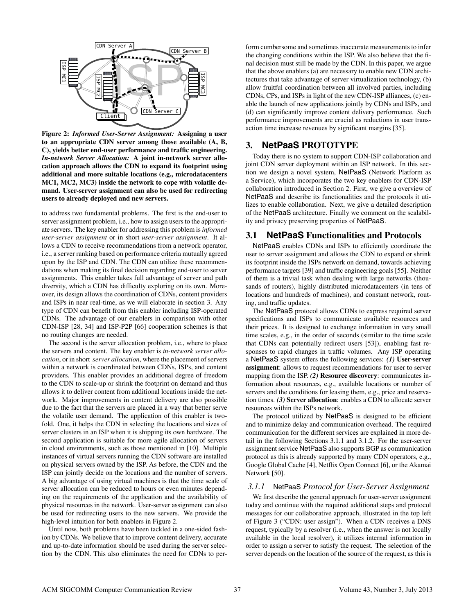

**Figure 2:** *Informed User-Server Assignment:* **Assigning a user to an appropriate CDN server among those available (A, B, C), yields better end-user performance and traffic engineering.** *In-network Server Allocation:* **A joint in-network server allocation approach allows the CDN to expand its footprint using additional and more suitable locations (e.g., microdatacenters MC1, MC2, MC3) inside the network to cope with volatile demand. User-server assignment can also be used for redirecting users to already deployed and new servers.**

to address two fundamental problems. The first is the end-user to server assignment problem, i.e., how to assign users to the appropriate servers. The key enabler for addressing this problem is*informed user-server assignment* or in short *user-server assignment*. It allows a CDN to receive recommendations from a network operator, i.e., a server ranking based on performance criteria mutually agreed upon by the ISP and CDN. The CDN can utilize these recommendations when making its final decision regarding end-user to server assignments. This enabler takes full advantage of server and path diversity, which a CDN has difficulty exploring on its own. Moreover, its design allows the coordination of CDNs, content providers and ISPs in near real-time, as we will elaborate in section 3. Any type of CDN can benefit from this enabler including ISP-operated CDNs. The advantage of our enablers in comparison with other CDN-ISP [28, 34] and ISP-P2P [66] cooperation schemes is that no routing changes are needed.

The second is the server allocation problem, i.e., where to place the servers and content. The key enabler is *in-network server allocation*, or in short *server allocation*, where the placement of servers within a network is coordinated between CDNs, ISPs, and content providers. This enabler provides an additional degree of freedom to the CDN to scale-up or shrink the footprint on demand and thus allows it to deliver content from additional locations inside the network. Major improvements in content delivery are also possible due to the fact that the servers are placed in a way that better serve the volatile user demand. The application of this enabler is twofold. One, it helps the CDN in selecting the locations and sizes of server clusters in an ISP when it is shipping its own hardware. The second application is suitable for more agile allocation of servers in cloud environments, such as those mentioned in [10]. Multiple instances of virtual servers running the CDN software are installed on physical servers owned by the ISP. As before, the CDN and the ISP can jointly decide on the locations and the number of servers. A big advantage of using virtual machines is that the time scale of server allocation can be reduced to hours or even minutes depending on the requirements of the application and the availability of physical resources in the network. User-server assignment can also be used for redirecting users to the new servers. We provide the high-level intuition for both enablers in Figure 2.

Until now, both problems have been tackled in a one-sided fashion by CDNs. We believe that to improve content delivery, accurate and up-to-date information should be used during the server selection by the CDN. This also eliminates the need for CDNs to perform cumbersome and sometimes inaccurate measurements to infer the changing conditions within the ISP. We also believe that the final decision must still be made by the CDN. In this paper, we argue that the above enablers (a) are necessary to enable new CDN architectures that take advantage of server virtualization technology, (b) allow fruitful coordination between all involved parties, including CDNs, CPs, and ISPs in light of the new CDN-ISP alliances, (c) enable the launch of new applications jointly by CDNs and ISPs, and (d) can significantly improve content delivery performance. Such performance improvements are crucial as reductions in user transaction time increase revenues by significant margins [35].

# **3. NetPaaS PROTOTYPE**

Today there is no system to support CDN-ISP collaboration and joint CDN server deployment within an ISP network. In this section we design a novel system, NetPaaS (Network Platform as a Service), which incorporates the two key enablers for CDN-ISP collaboration introduced in Section 2. First, we give a overview of NetPaaS and describe its functionalities and the protocols it utilizes to enable collaboration. Next, we give a detailed description of the NetPaaS architecture. Finally we comment on the scalability and privacy preserving properties of NetPaaS.

# **3.1 NetPaaS Functionalities and Protocols**

NetPaaS enables CDNs and ISPs to efficiently coordinate the user to server assignment and allows the CDN to expand or shrink its footprint inside the ISPs network on demand, towards achieving performance targets [39] and traffic engineering goals [55]. Neither of them is a trivial task when dealing with large networks (thousands of routers), highly distributed microdatacenters (in tens of locations and hundreds of machines), and constant network, routing, and traffic updates.

The NetPaaS protocol allows CDNs to express required server specifications and ISPs to communicate available resources and their prices. It is designed to exchange information in very small time scales, e.g., in the order of seconds (similar to the time scale that CDNs can potentially redirect users [53]), enabling fast responses to rapid changes in traffic volumes. Any ISP operating a NetPaaS system offers the following services: *(1)* **User-server assignment**: allows to request recommendations for user to server mapping from the ISP. *(2)* **Resource discovery**: communicates information about resources, e.g., available locations or number of servers and the conditions for leasing them, e.g., price and reservation times. *(3)* **Server allocation**: enables a CDN to allocate server resources within the ISPs network.

The protocol utilized by NetPaaS is designed to be efficient and to minimize delay and communication overhead. The required communication for the different services are explained in more detail in the following Sections 3.1.1 and 3.1.2. For the user-server assignment service NetPaaS also supports BGP as communication protocol as this is already supported by many CDN operators, e.g., Google Global Cache [4], Netflix Open Connect [6], or the Akamai Network [50].

#### *3.1.1* NetPaaS *Protocol for User-Server Assignment*

We first describe the general approach for user-server assignment today and continue with the required additional steps and protocol messages for our collaborative approach, illustrated in the top left of Figure 3 ("CDN: user assign"). When a CDN receives a DNS request, typically by a resolver (i.e., when the answer is not locally available in the local resolver), it utilizes internal information in order to assign a server to satisfy the request. The selection of the server depends on the location of the source of the request, as this is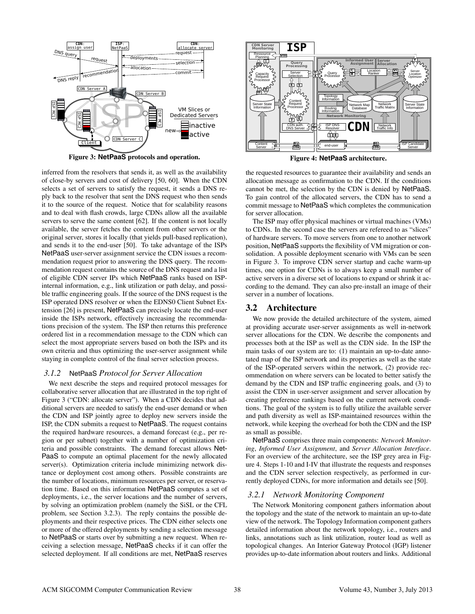

**Figure 3: NetPaaS protocols and operation.**

inferred from the resolvers that sends it, as well as the availability of close-by servers and cost of delivery [50, 60]. When the CDN selects a set of servers to satisfy the request, it sends a DNS reply back to the resolver that sent the DNS request who then sends it to the source of the request. Notice that for scalability reasons and to deal with flash crowds, large CDNs allow all the available servers to serve the same content [62]. If the content is not locally available, the server fetches the content from other servers or the original server, stores it locally (that yields pull-based replication), and sends it to the end-user [50]. To take advantage of the ISPs NetPaaS user-server assignment service the CDN issues a recommendation request prior to answering the DNS query. The recommendation request contains the source of the DNS request and a list of eligible CDN server IPs which NetPaaS ranks based on ISPinternal information, e.g., link utilization or path delay, and possible traffic engineering goals. If the source of the DNS request is the ISP operated DNS resolver or when the EDNS0 Client Subnet Extension [26] is present, NetPaaS can precisely locate the end-user inside the ISPs network, effectively increasing the recommendations precision of the system. The ISP then returns this preference ordered list in a recommendation message to the CDN which can select the most appropriate servers based on both the ISPs and its own criteria and thus optimizing the user-server assignment while staying in complete control of the final server selection process.

#### *3.1.2* NetPaaS *Protocol for Server Allocation*

We next describe the steps and required protocol messages for collaborative server allocation that are illustrated in the top right of Figure 3 ("CDN: allocate server"). When a CDN decides that additional servers are needed to satisfy the end-user demand or when the CDN and ISP jointly agree to deploy new servers inside the ISP, the CDN submits a request to NetPaaS. The request contains the required hardware resources, a demand forecast (e.g., per region or per subnet) together with a number of optimization criteria and possible constraints. The demand forecast allows Net-PaaS to compute an optimal placement for the newly allocated server(s). Optimization criteria include minimizing network distance or deployment cost among others. Possible constraints are the number of locations, minimum resources per server, or reservation time. Based on this information NetPaaS computes a set of deployments, i.e., the server locations and the number of servers, by solving an optimization problem (namely the SiSL or the CFL problem, see Section 3.2.3). The reply contains the possible deployments and their respective prices. The CDN either selects one or more of the offered deployments by sending a selection message to NetPaaS or starts over by submitting a new request. When receiving a selection message, NetPaaS checks if it can offer the selected deployment. If all conditions are met, NetPaaS reserves



**Figure 4: NetPaaS architecture.**

the requested resources to guarantee their availability and sends an allocation message as confirmation to the CDN. If the conditions cannot be met, the selection by the CDN is denied by NetPaaS. To gain control of the allocated servers, the CDN has to send a commit message to NetPaaS which completes the communication for server allocation.

The ISP may offer physical machines or virtual machines (VMs) to CDNs. In the second case the servers are refereed to as "slices" of hardware servers. To move servers from one to another network position, NetPaaS supports the flexibility of VM migration or consolidation. A possible deployment scenario with VMs can be seen in Figure 3. To improve CDN server startup and cache warm-up times, one option for CDNs is to always keep a small number of active servers in a diverse set of locations to expand or shrink it according to the demand. They can also pre-install an image of their server in a number of locations.

#### **3.2 Architecture**

We now provide the detailed architecture of the system, aimed at providing accurate user-server assignments as well in-network server allocations for the CDN. We describe the components and processes both at the ISP as well as the CDN side. In the ISP the main tasks of our system are to: (1) maintain an up-to-date annotated map of the ISP network and its properties as well as the state of the ISP-operated servers within the network, (2) provide recommendation on where servers can be located to better satisfy the demand by the CDN and ISP traffic engineering goals, and (3) to assist the CDN in user-server assignment and server allocation by creating preference rankings based on the current network conditions. The goal of the system is to fully utilize the available server and path diversity as well as ISP-maintained resources within the network, while keeping the overhead for both the CDN and the ISP as small as possible.

NetPaaS comprises three main components: *Network Monitoring*, *Informed User Assignment*, and *Server Allocation Interface*. For an overview of the architecture, see the ISP grey area in Figure 4. Steps 1-10 and I-IV that illustrate the requests and responses and the CDN server selection respectively, as performed in currently deployed CDNs, for more information and details see [50].

#### *3.2.1 Network Monitoring Component*

The Network Monitoring component gathers information about the topology and the state of the network to maintain an up-to-date view of the network. The Topology Information component gathers detailed information about the network topology, i.e., routers and links, annotations such as link utilization, router load as well as topological changes. An Interior Gateway Protocol (IGP) listener provides up-to-date information about routers and links. Additional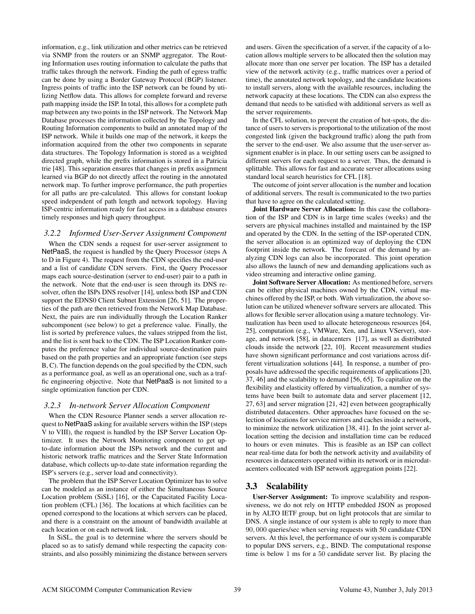information, e.g., link utilization and other metrics can be retrieved via SNMP from the routers or an SNMP aggregator. The Routing Information uses routing information to calculate the paths that traffic takes through the network. Finding the path of egress traffic can be done by using a Border Gateway Protocol (BGP) listener. Ingress points of traffic into the ISP network can be found by utilizing Netflow data. This allows for complete forward and reverse path mapping inside the ISP. In total, this allows for a complete path map between any two points in the ISP network. The Network Map Database processes the information collected by the Topology and Routing Information components to build an annotated map of the ISP network. While it builds one map of the network, it keeps the information acquired from the other two components in separate data structures. The Topology Information is stored as a weighted directed graph, while the prefix information is stored in a Patricia trie [48]. This separation ensures that changes in prefix assignment learned via BGP do not directly affect the routing in the annotated network map. To further improve performance, the path properties for all paths are pre-calculated. This allows for constant lookup speed independent of path length and network topology. Having ISP-centric information ready for fast access in a database ensures timely responses and high query throughput.

#### *3.2.2 Informed User-Server Assignment Component*

When the CDN sends a request for user-server assignment to NetPaaS, the request is handled by the Query Processor (steps A to D in Figure 4). The request from the CDN specifies the end-user and a list of candidate CDN servers. First, the Query Processor maps each source-destination (server to end-user) pair to a path in the network. Note that the end-user is seen through its DNS resolver, often the ISPs DNS resolver [14], unless both ISP and CDN support the EDNS0 Client Subnet Extension [26, 51]. The properties of the path are then retrieved from the Network Map Database. Next, the pairs are run individually through the Location Ranker subcomponent (see below) to get a preference value. Finally, the list is sorted by preference values, the values stripped from the list, and the list is sent back to the CDN. The ISP Location Ranker computes the preference value for individual source-destination pairs based on the path properties and an appropriate function (see steps B, C). The function depends on the goal specified by the CDN, such as a performance goal, as well as an operational one, such as a traffic engineering objective. Note that NetPaaS is not limited to a single optimization function per CDN.

#### *3.2.3 In-network Server Allocation Component*

When the CDN Resource Planner sends a server allocation request to NetPaaS asking for available servers within the ISP (steps V to VIII), the request is handled by the ISP Server Location Optimizer. It uses the Network Monitoring component to get upto-date information about the ISPs network and the current and historic network traffic matrices and the Server State Information database, which collects up-to-date state information regarding the ISP's servers (e.g., server load and connectivity).

The problem that the ISP Server Location Optimizer has to solve can be modeled as an instance of either the Simultaneous Source Location problem (SiSL) [16], or the Capacitated Facility Location problem (CFL) [36]. The locations at which facilities can be opened correspond to the locations at which servers can be placed, and there is a constraint on the amount of bandwidth available at each location or on each network link.

In SiSL, the goal is to determine where the servers should be placed so as to satisfy demand while respecting the capacity constraints, and also possibly minimizing the distance between servers and users. Given the specification of a server, if the capacity of a location allows multiple servers to be allocated then the solution may allocate more than one server per location. The ISP has a detailed view of the network activity (e.g., traffic matrices over a period of time), the annotated network topology, and the candidate locations to install servers, along with the available resources, including the network capacity at these locations. The CDN can also express the demand that needs to be satisfied with additional servers as well as the server requirements.

In the CFL solution, to prevent the creation of hot-spots, the distance of users to servers is proportional to the utilization of the most congested link (given the background traffic) along the path from the server to the end-user. We also assume that the user-server assignment enabler is in place. In our setting users can be assigned to different servers for each request to a server. Thus, the demand is splittable. This allows for fast and accurate server allocations using standard local search heuristics for CFL [18].

The outcome of joint server allocation is the number and location of additional servers. The result is communicated to the two parties that have to agree on the calculated setting.

**Joint Hardware Server Allocation:** In this case the collaboration of the ISP and CDN is in large time scales (weeks) and the servers are physical machines installed and maintained by the ISP and operated by the CDN. In the setting of the ISP-operated CDN, the server allocation is an optimized way of deploying the CDN footprint inside the network. The forecast of the demand by analyzing CDN logs can also be incorporated. This joint operation also allows the launch of new and demanding applications such as video streaming and interactive online gaming.

**Joint Software Server Allocation:** As mentioned before, servers can be either physical machines owned by the CDN, virtual machines offered by the ISP, or both. With virtualization, the above solution can be utilized whenever software servers are allocated. This allows for flexible server allocation using a mature technology. Virtualization has been used to allocate heterogeneous resources [64, 25], computation (e.g., VMWare, Xen, and Linux VServer), storage, and network [58], in datacenters [17], as well as distributed clouds inside the network [22, 10]. Recent measurement studies have shown significant performance and cost variations across different virtualization solutions [44]. In response, a number of proposals have addressed the specific requirements of applications [20, 37, 46] and the scalability to demand [56, 65]. To capitalize on the flexibility and elasticity offered by virtualization, a number of systems have been built to automate data and server placement [12, 27, 63] and server migration [21, 42] even between geographically distributed datacenters. Other approaches have focused on the selection of locations for service mirrors and caches inside a network, to minimize the network utilization [38, 41]. In the joint server allocation setting the decision and installation time can be reduced to hours or even minutes. This is feasible as an ISP can collect near real-time data for both the network activity and availability of resources in datacenters operated within its network or in microdatacenters collocated with ISP network aggregation points [22].

# **3.3 Scalability**

**User-Server Assignment:** To improve scalability and responsiveness, we do not rely on HTTP embedded JSON as proposed in by ALTO IETF group, but on light protocols that are similar to DNS. A single instance of our system is able to reply to more than 90*,* 000 queries/sec when serving requests with 50 candidate CDN servers. At this level, the performance of our system is comparable to popular DNS servers, e.g., BIND. The computational response time is below 1 ms for a 50 candidate server list. By placing the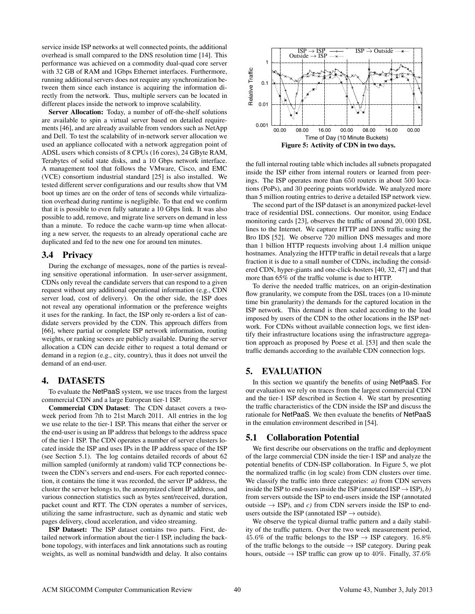service inside ISP networks at well connected points, the additional overhead is small compared to the DNS resolution time [14]. This performance was achieved on a commodity dual-quad core server with 32 GB of RAM and 1Gbps Ethernet interfaces. Furthermore, running additional servers does not require any synchronization between them since each instance is acquiring the information directly from the network. Thus, multiple servers can be located in different places inside the network to improve scalability.

**Server Allocation:** Today, a number of off-the-shelf solutions are available to spin a virtual server based on detailed requirements [46], and are already available from vendors such as NetApp and Dell. To test the scalability of in-network server allocation we used an appliance collocated with a network aggregation point of ADSL users which consists of 8 CPUs (16 cores), 24 GByte RAM, Terabytes of solid state disks, and a 10 Gbps network interface. A management tool that follows the VMware, Cisco, and EMC (VCE) consortium industrial standard [25] is also installed. We tested different server configurations and our results show that VM boot up times are on the order of tens of seconds while virtualization overhead during runtime is negligible. To that end we confirm that it is possible to even fully saturate a 10 Gbps link. It was also possible to add, remove, and migrate live servers on demand in less than a minute. To reduce the cache warm-up time when allocating a new server, the requests to an already operational cache are duplicated and fed to the new one for around ten minutes.

#### **3.4 Privacy**

During the exchange of messages, none of the parties is revealing sensitive operational information. In user-server assignment, CDNs only reveal the candidate servers that can respond to a given request without any additional operational information (e.g., CDN server load, cost of delivery). On the other side, the ISP does not reveal any operational information or the preference weights it uses for the ranking. In fact, the ISP only re-orders a list of candidate servers provided by the CDN. This approach differs from [66], where partial or complete ISP network information, routing weights, or ranking scores are publicly available. During the server allocation a CDN can decide either to request a total demand or demand in a region (e.g., city, country), thus it does not unveil the demand of an end-user.

#### **4. DATASETS**

To evaluate the NetPaaS system, we use traces from the largest commercial CDN and a large European tier-1 ISP.

**Commercial CDN Dataset**: The CDN dataset covers a twoweek period from 7th to 21st March 2011. All entries in the log we use relate to the tier-1 ISP. This means that either the server or the end-user is using an IP address that belongs to the address space of the tier-1 ISP. The CDN operates a number of server clusters located inside the ISP and uses IPs in the IP address space of the ISP (see Section 5.1). The log contains detailed records of about 62 million sampled (uniformly at random) valid TCP connections between the CDN's servers and end-users. For each reported connection, it contains the time it was recorded, the server IP address, the cluster the server belongs to, the anonymized client IP address, and various connection statistics such as bytes sent/received, duration, packet count and RTT. The CDN operates a number of services, utilizing the same infrastructure, such as dynamic and static web pages delivery, cloud acceleration, and video streaming.

**ISP Dataset:** The ISP dataset contains two parts. First, detailed network information about the tier-1 ISP, including the backbone topology, with interfaces and link annotations such as routing weights, as well as nominal bandwidth and delay. It also contains



the full internal routing table which includes all subnets propagated inside the ISP either from internal routers or learned from peerings. The ISP operates more than 650 routers in about 500 locations (PoPs), and 30 peering points worldwide. We analyzed more than 5 million routing entries to derive a detailed ISP network view.

The second part of the ISP dataset is an anonymized packet-level trace of residential DSL connections. Our monitor, using Endace monitoring cards [23], observes the traffic of around 20*,* 000 DSL lines to the Internet. We capture HTTP and DNS traffic using the Bro IDS [52]. We observe 720 million DNS messages and more than 1 billion HTTP requests involving about 1.4 million unique hostnames. Analyzing the HTTP traffic in detail reveals that a large fraction it is due to a small number of CDNs, including the considered CDN, hyper-giants and one-click-hosters [40, 32, 47] and that more than 65% of the traffic volume is due to HTTP.

To derive the needed traffic matrices, on an origin-destination flow granularity, we compute from the DSL traces (on a 10-minute time bin granularity) the demands for the captured location in the ISP network. This demand is then scaled according to the load imposed by users of the CDN to the other locations in the ISP network. For CDNs without available connection logs, we first identify their infrastructure locations using the infrastructure aggregation approach as proposed by Poese et al. [53] and then scale the traffic demands according to the available CDN connection logs.

# **5. EVALUATION**

In this section we quantify the benefits of using NetPaaS. For our evaluation we rely on traces from the largest commercial CDN and the tier-1 ISP described in Section 4. We start by presenting the traffic characteristics of the CDN inside the ISP and discuss the rationale for NetPaaS. We then evaluate the benefits of NetPaaS in the emulation environment described in [54].

#### **5.1 Collaboration Potential**

We first describe our observations on the traffic and deployment of the large commercial CDN inside the tier-1 ISP and analyze the potential benefits of CDN-ISP collaboration. In Figure 5, we plot the normalized traffic (in log scale) from CDN clusters over time. We classify the traffic into three categories: *a)* from CDN servers inside the ISP to end-users inside the ISP (annotated ISP  $\rightarrow$  ISP), *b*) from servers outside the ISP to end-users inside the ISP (annotated outside  $\rightarrow$  ISP), and *c*) from CDN servers inside the ISP to endusers outside the ISP (annotated ISP  $\rightarrow$  outside).

We observe the typical diurnal traffic pattern and a daily stability of the traffic pattern. Over the two week measurement period, 45.6% of the traffic belongs to the ISP  $\rightarrow$  ISP category. 16.8% of the traffic belongs to the outside  $\rightarrow$  ISP category. During peak hours, outside  $\rightarrow$  ISP traffic can grow up to 40%. Finally, 37.6%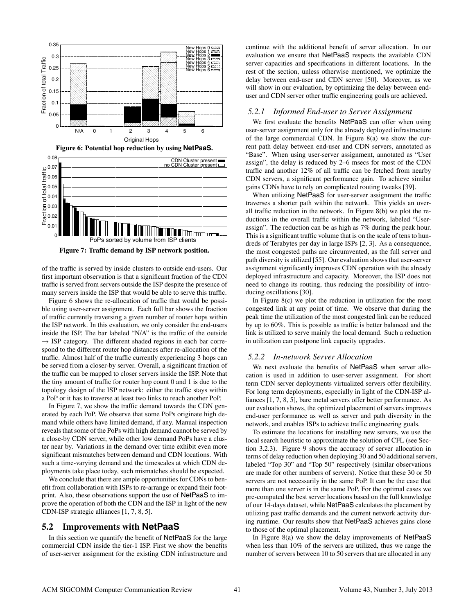

of the traffic is served by inside clusters to outside end-users. Our first important observation is that a significant fraction of the CDN traffic is served from servers outside the ISP despite the presence of many servers inside the ISP that would be able to serve this traffic.

Figure 6 shows the re-allocation of traffic that would be possible using user-server assignment. Each full bar shows the fraction of traffic currently traversing a given number of router hops within the ISP network. In this evaluation, we only consider the end-users inside the ISP. The bar labeled "N/A" is the traffic of the outside  $\rightarrow$  ISP category. The different shaded regions in each bar correspond to the different router hop distances after re-allocation of the traffic. Almost half of the traffic currently experiencing 3 hops can be served from a closer-by server. Overall, a significant fraction of the traffic can be mapped to closer servers inside the ISP. Note that the tiny amount of traffic for router hop count 0 and 1 is due to the topology design of the ISP network: either the traffic stays within a PoP or it has to traverse at least two links to reach another PoP.

In Figure 7, we show the traffic demand towards the CDN generated by each PoP. We observe that some PoPs originate high demand while others have limited demand, if any. Manual inspection reveals that some of the PoPs with high demand cannot be served by a close-by CDN server, while other low demand PoPs have a cluster near by. Variations in the demand over time exhibit even more significant mismatches between demand and CDN locations. With such a time-varying demand and the timescales at which CDN deployments take place today, such mismatches should be expected.

We conclude that there are ample opportunities for CDNs to benefit from collaboration with ISPs to re-arrange or expand their footprint. Also, these observations support the use of NetPaaS to improve the operation of both the CDN and the ISP in light of the new CDN-ISP strategic alliances [1, 7, 8, 5].

### **5.2 Improvements with NetPaaS**

In this section we quantify the benefit of NetPaaS for the large commercial CDN inside the tier-1 ISP. First we show the benefits of user-server assignment for the existing CDN infrastructure and continue with the additional benefit of server allocation. In our evaluation we ensure that NetPaaS respects the available CDN server capacities and specifications in different locations. In the rest of the section, unless otherwise mentioned, we optimize the delay between end-user and CDN server [50]. Moreover, as we will show in our evaluation, by optimizing the delay between enduser and CDN server other traffic engineering goals are achieved.

#### *5.2.1 Informed End-user to Server Assignment*

We first evaluate the benefits NetPaaS can offer when using user-server assignment only for the already deployed infrastructure of the large commercial CDN. In Figure 8(a) we show the current path delay between end-user and CDN servers, annotated as "Base". When using user-server assignment, annotated as "User assign", the delay is reduced by 2–6 msecs for most of the CDN traffic and another 12% of all traffic can be fetched from nearby CDN servers, a significant performance gain. To achieve similar gains CDNs have to rely on complicated routing tweaks [39].

When utilizing NetPaaS for user-server assignment the traffic traverses a shorter path within the network. This yields an overall traffic reduction in the network. In Figure 8(b) we plot the reductions in the overall traffic within the network, labeled "Userassign". The reduction can be as high as 7% during the peak hour. This is a significant traffic volume that is on the scale of tens to hundreds of Terabytes per day in large ISPs [2, 3]. As a consequence, the most congested paths are circumvented, as the full server and path diversity is utilized [55]. Our evaluation shows that user-server assignment significantly improves CDN operation with the already deployed infrastructure and capacity. Moreover, the ISP does not need to change its routing, thus reducing the possibility of introducing oscillations [30].

In Figure 8(c) we plot the reduction in utilization for the most congested link at any point of time. We observe that during the peak time the utilization of the most congested link can be reduced by up to 60%. This is possible as traffic is better balanced and the link is utilized to serve mainly the local demand. Such a reduction in utilization can postpone link capacity upgrades.

#### *5.2.2 In-network Server Allocation*

We next evaluate the benefits of NetPaaS when server allocation is used in addition to user-server assignment. For short term CDN server deployments virtualized servers offer flexibility. For long term deployments, especially in light of the CDN-ISP alliances [1, 7, 8, 5], bare metal servers offer better performance. As our evaluation shows, the optimized placement of servers improves end-user performance as well as server and path diversity in the network, and enables ISPs to achieve traffic engineering goals.

To estimate the locations for installing new servers, we use the local search heuristic to approximate the solution of CFL (see Section 3.2.3). Figure 9 shows the accuracy of server allocation in terms of delay reduction when deploying 30 and 50 additional servers, labeled "Top 30" and "Top 50" respectively (similar observations are made for other numbers of servers). Notice that these 30 or 50 servers are not necessarily in the same PoP. It can be the case that more than one server is in the same PoP. For the optimal cases we pre-computed the best server locations based on the full knowledge of our 14-days dataset, while NetPaaS calculates the placement by utilizing past traffic demands and the current network activity during runtime. Our results show that NetPaaS achieves gains close to those of the optimal placement.

In Figure 8(a) we show the delay improvements of NetPaaS when less than 10% of the servers are utilized, thus we range the number of servers between 10 to 50 servers that are allocated in any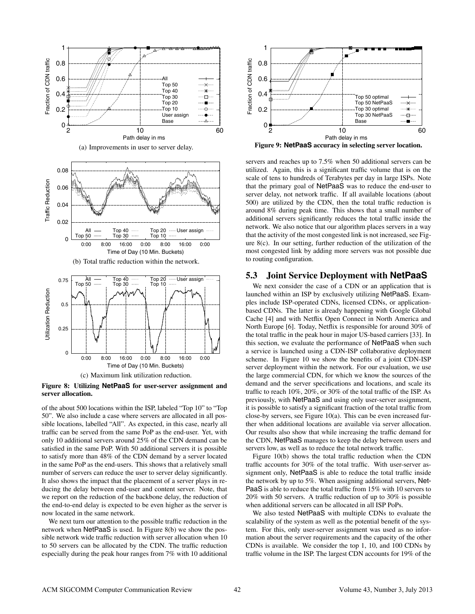

**Figure 8: Utilizing NetPaaS for user-server assignment and server allocation.**

of the about 500 locations within the ISP, labeled "Top 10" to "Top 50". We also include a case where servers are allocated in all possible locations, labelled "All". As expected, in this case, nearly all traffic can be served from the same PoP as the end-user. Yet, with only 10 additional servers around 25% of the CDN demand can be satisfied in the same PoP. With 50 additional servers it is possible to satisfy more than 48% of the CDN demand by a server located in the same PoP as the end-users. This shows that a relatively small number of servers can reduce the user to server delay significantly. It also shows the impact that the placement of a server plays in reducing the delay between end-user and content server. Note, that we report on the reduction of the backbone delay, the reduction of the end-to-end delay is expected to be even higher as the server is now located in the same network.

We next turn our attention to the possible traffic reduction in the network when NetPaaS is used. In Figure 8(b) we show the possible network wide traffic reduction with server allocation when 10 to 50 servers can be allocated by the CDN. The traffic reduction especially during the peak hour ranges from 7% with 10 additional



servers and reaches up to 7.5% when 50 additional servers can be utilized. Again, this is a significant traffic volume that is on the scale of tens to hundreds of Terabytes per day in large ISPs. Note that the primary goal of NetPaaS was to reduce the end-user to server delay, not network traffic. If all available locations (about 500) are utilized by the CDN, then the total traffic reduction is around 8% during peak time. This shows that a small number of additional servers significantly reduces the total traffic inside the network. We also notice that our algorithm places servers in a way that the activity of the most congested link is not increased, see Figure 8(c). In our setting, further reduction of the utilization of the most congested link by adding more servers was not possible due to routing configuration.

#### **5.3 Joint Service Deployment with NetPaaS**

We next consider the case of a CDN or an application that is launched within an ISP by exclusively utilizing NetPaaS. Examples include ISP-operated CDNs, licensed CDNs, or applicationbased CDNs. The latter is already happening with Google Global Cache [4] and with Netflix Open Connect in North America and North Europe [6]. Today, Netflix is responsible for around 30% of the total traffic in the peak hour in major US-based carriers [33]. In this section, we evaluate the performance of NetPaaS when such a service is launched using a CDN-ISP collaborative deployment scheme. In Figure 10 we show the benefits of a joint CDN-ISP server deployment within the network. For our evaluation, we use the large commercial CDN, for which we know the sources of the demand and the server specifications and locations, and scale its traffic to reach 10%, 20%, or 30% of the total traffic of the ISP. As previously, with NetPaaS and using only user-server assignment, it is possible to satisfy a significant fraction of the total traffic from close-by servers, see Figure 10(a). This can be even increased further when additional locations are available via server allocation. Our results also show that while increasing the traffic demand for the CDN, NetPaaS manages to keep the delay between users and servers low, as well as to reduce the total network traffic.

Figure 10(b) shows the total traffic reduction when the CDN traffic accounts for 30% of the total traffic. With user-server assignment only, NetPaaS is able to reduce the total traffic inside the network by up to 5%. When assigning additional servers, Net-PaaS is able to reduce the total traffic from 15% with 10 servers to 20% with 50 servers. A traffic reduction of up to 30% is possible when additional servers can be allocated in all ISP PoPs.

We also tested NetPaaS with multiple CDNs to evaluate the scalability of the system as well as the potential benefit of the system. For this, only user-server assignment was used as no information about the server requirements and the capacity of the other CDNs is available. We consider the top 1, 10, and 100 CDNs by traffic volume in the ISP. The largest CDN accounts for 19% of the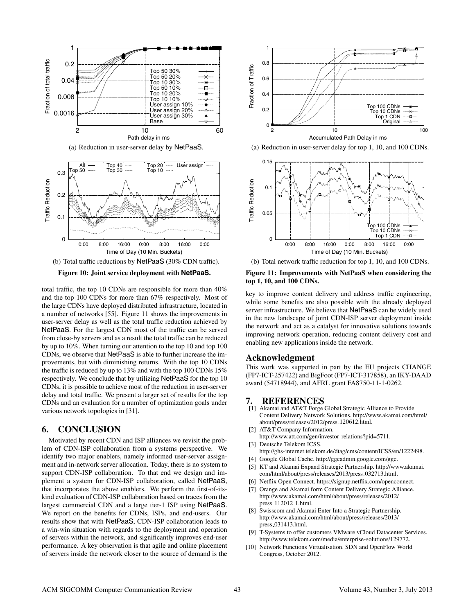

total traffic, the top 10 CDNs are responsible for more than 40% and the top 100 CDNs for more than 67% respectively. Most of the large CDNs have deployed distributed infrastructure, located in a number of networks [55]. Figure 11 shows the improvements in user-server delay as well as the total traffic reduction achieved by NetPaaS. For the largest CDN most of the traffic can be served from close-by servers and as a result the total traffic can be reduced by up to 10%. When turning our attention to the top 10 and top 100 CDNs, we observe that NetPaaS is able to further increase the improvements, but with diminishing returns. With the top 10 CDNs the traffic is reduced by up to 13% and with the top 100 CDNs 15% respectively. We conclude that by utilizing NetPaaS for the top 10 CDNs, it is possible to achieve most of the reduction in user-server delay and total traffic. We present a larger set of results for the top CDNs and an evaluation for a number of optimization goals under various network topologies in [31].

### **6. CONCLUSION**

Motivated by recent CDN and ISP alliances we revisit the problem of CDN-ISP collaboration from a systems perspective. We identify two major enablers, namely informed user-server assignment and in-network server allocation. Today, there is no system to support CDN-ISP collaboration. To that end we design and implement a system for CDN-ISP collaboration, called NetPaaS, that incorporates the above enablers. We perform the first-of-itskind evaluation of CDN-ISP collaboration based on traces from the largest commercial CDN and a large tier-1 ISP using NetPaaS. We report on the benefits for CDNs, ISPs, and end-users. Our results show that with NetPaaS, CDN-ISP collaboration leads to a win-win situation with regards to the deployment and operation of servers within the network, and significantly improves end-user performance. A key observation is that agile and online placement of servers inside the network closer to the source of demand is the



(a) Reduction in user-server delay for top 1, 10, and 100 CDNs.



(b) Total network traffic reduction for top 1, 10, and 100 CDNs.

#### **Figure 11: Improvements with NetPaaS when considering the top 1, 10, and 100 CDNs.**

key to improve content delivery and address traffic engineering, while some benefits are also possible with the already deployed server infrastructure. We believe that NetPaaS can be widely used in the new landscape of joint CDN-ISP server deployment inside the network and act as a catalyst for innovative solutions towards improving network operation, reducing content delivery cost and enabling new applications inside the network.

# **Acknowledgment**

This work was supported in part by the EU projects CHANGE (FP7-ICT-257422) and BigFoot (FP7-ICT-317858), an IKY-DAAD award (54718944), and AFRL grant FA8750-11-1-0262.

- **7. REFERENCES** [1] Akamai and AT&T Forge Global Strategic Alliance to Provide Content Delivery Network Solutions. http://www.akamai.com/html/ about/press/releases/2012/press 120612.html.
- [2] AT&T Company Information. http://www.att.com/gen/investor-relations?pid=5711.
- [3] Deutsche Telekom ICSS. http://ghs-internet.telekom.de/dtag/cms/content/ICSS/en/1222498.
- [4] Google Global Cache. http://ggcadmin.google.com/ggc.
- KT and Akamai Expand Strategic Partnership. http://www.akamai. com/html/about/press/releases/2013/press 032713.html.
- [6] Netflix Open Connect. https://signup.netflix.com/openconnect.
- [7] Orange and Akamai form Content Delivery Strategic Alliance. http://www.akamai.com/html/about/press/releases/2012/ press 112012 1.html.
- [8] Swisscom and Akamai Enter Into a Strategic Partnership. http://www.akamai.com/html/about/press/releases/2013/ press 031413.html.
- T-Systems to offer customers VMware vCloud Datacenter Services. http://www.telekom.com/media/enterprise-solutions/129772.
- [10] Network Functions Virtualisation. SDN and OpenFlow World Congress, October 2012.